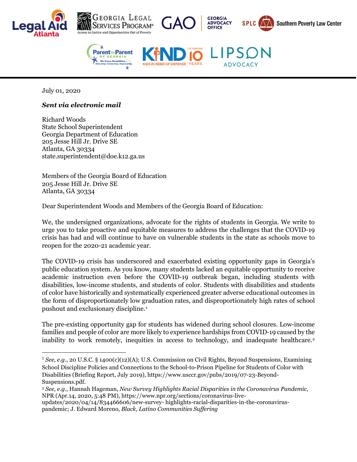





**ADVOCACY** 

NEED OF DEFENSE YEARS





July 01, 2020

## *Sent via electronic mail*

Richard Woods State School Superintendent Georgia Department of Education 205 Jesse Hill Jr. Drive SE Atlanta, GA 30334 state.superintendent@doe.k12.ga.us

Members of the Georgia Board of Education 205 Jesse Hill Jr. Drive SE Atlanta, GA 30334

Dear Superintendent Woods and Members of the Georgia Board of Education:

We, the undersigned organizations, advocate for the rights of students in Georgia. We write to urge you to take proactive and equitable measures to address the challenges that the COVID-19 crisis has had and will continue to have on vulnerable students in the state as schools move to reopen for the 2020-21 academic year.

The COVID-19 crisis has underscored and exacerbated existing opportunity gaps in Georgia's public education system. As you know, many students lacked an equitable opportunity to receive academic instruction even before the COVID-19 outbreak began, including students with disabilities, low-income students, and students of color. Students with disabilities and students of color have historically and systematically experienced greater adverse educational outcomes in the form of disproportionately low graduation rates, and disproportionately high rates of school pushout and exclusionary discipline.[1](#page-0-0)

The pre-existing opportunity gap for students has widened during school closures. Low-income families and people of color are more likely to experience hardships from COVID-19 caused by the inability to work remotely, inequities in access to technology, and inadequate healthcare.<sup>[2](#page-0-1)</sup>

<span id="page-0-0"></span><sup>1</sup> *See, e.g.*, 20 U.S.C. § 1400(c)(12)(A); U.S. Commission on Civil Rights, Beyond Suspensions, Examining School Discipline Policies and Connections to the School-to-Prison Pipeline for Students of Color with Disabilities (Briefing Report, July 2019), https://www.usccr.gov/pubs/2019/07-23-Beyond-Suspensions.pdf.

<span id="page-0-1"></span><sup>2</sup> *See, e.g.*, Hannah Hageman, *New Survey Highlights Racial Disparities in the Coronavirus Pandemic*, NPR (Apr.14, 2020, 5:48 PM), https://www.npr.org/sections/coronavirus-live-

updates/2020/04/14/834466606/new-survey- highlights-racial-disparities-in-the-coronaviruspandemic; J. Edward Moreno, *Black, Latino Communities Suffering*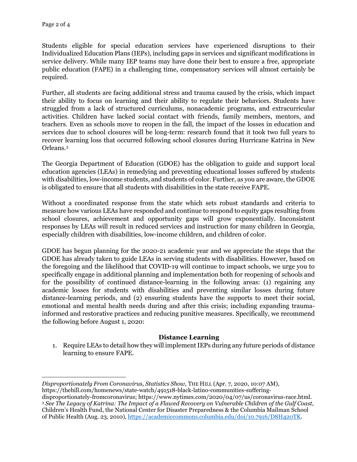Students eligible for special education services have experienced disruptions to their Individualized Education Plans (IEPs), including gaps in services and significant modifications in service delivery. While many IEP teams may have done their best to ensure a free, appropriate public education (FAPE) in a challenging time, compensatory services will almost certainly be required.

Further, all students are facing additional stress and trauma caused by the crisis, which impact their ability to focus on learning and their ability to regulate their behaviors. Students have struggled from a lack of structured curriculums, nonacademic programs, and extracurricular activities. Children have lacked social contact with friends, family members, mentors, and teachers. Even as schools move to reopen in the fall, the impact of the losses in education and services due to school closures will be long-term: research found that it took two full years to recover learning loss that occurred following school closures during Hurricane Katrina in New Orleans[.3](#page-1-0)

The Georgia Department of Education (GDOE) has the obligation to guide and support local education agencies (LEAs) in remedying and preventing educational losses suffered by students with disabilities, low-income students, and students of color. Further, as you are aware, the GDOE is obligated to ensure that all students with disabilities in the state receive FAPE.

Without a coordinated response from the state which sets robust standards and criteria to measure how various LEAs have responded and continue to respond to equity gaps resulting from school closures, achievement and opportunity gaps will grow exponentially. Inconsistent responses by LEAs will result in reduced services and instruction for many children in Georgia, especially children with disabilities, low-income children, and children of color.

GDOE has begun planning for the 2020-21 academic year and we appreciate the steps that the GDOE has already taken to guide LEAs in serving students with disabilities. However, based on the foregoing and the likelihood that COVID-19 will continue to impact schools, we urge you to specifically engage in additional planning and implementation both for reopening of schools and for the possibility of continued distance-learning in the following areas: (1) regaining any academic losses for students with disabilities and preventing similar losses during future distance-learning periods, and (2) ensuring students have the supports to meet their social, emotional and mental health needs during and after this crisis; including expanding traumainformed and restorative practices and reducing punitive measures. Specifically, we recommend the following before August 1, 2020:

## **Distance Learning**

1. Require LEAs to detail how they will implement IEPs during any future periods of distance learning to ensure FAPE.

*Disproportionately From Coronavirus, Statistics Show*, THE HILL (Apr. 7, 2020, 10:07 AM), https://thehill.com/homenews/state-watch/491518-black-latino-communities-suffering-

<span id="page-1-0"></span>disproportionately-fromcoronavirus; https://www.nytimes.com/2020/04/07/us/coronavirus-race.html. <sup>3</sup> *See The Legacy of Katrina: The Impact of a Flawed Recovery on Vulnerable Children of the Gulf Coast*, Children's Health Fund, the National Center for Disaster Preparedness & the Columbia Mailman School of Public Health (Aug. 23, 2010)[, https://academiccommons.columbia.edu/doi/10.7916/D8H420TK.](https://academiccommons.columbia.edu/doi/10.7916/D8H420TK)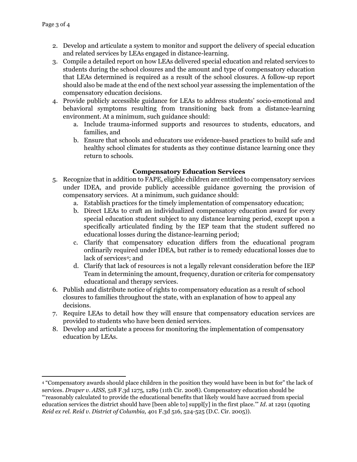- 2. Develop and articulate a system to monitor and support the delivery of special education and related services by LEAs engaged in distance-learning.
- 3. Compile a detailed report on how LEAs delivered special education and related services to students during the school closures and the amount and type of compensatory education that LEAs determined is required as a result of the school closures. A follow-up report should also be made at the end of the next school year assessing the implementation of the compensatory education decisions.
- 4. Provide publicly accessible guidance for LEAs to address students' socio-emotional and behavioral symptoms resulting from transitioning back from a distance-learning environment. At a minimum, such guidance should:
	- a. Include trauma-informed supports and resources to students, educators, and families, and
	- b. Ensure that schools and educators use evidence-based practices to build safe and healthy school climates for students as they continue distance learning once they return to schools.

## **Compensatory Education Services**

- 5. Recognize that in addition to FAPE, eligible children are entitled to compensatory services under IDEA, and provide publicly accessible guidance governing the provision of compensatory services. At a minimum, such guidance should:
	- a. Establish practices for the timely implementation of compensatory education;
	- b. Direct LEAs to craft an individualized compensatory education award for every special education student subject to any distance learning period, except upon a specifically articulated finding by the IEP team that the student suffered no educational losses during the distance-learning period;
	- c. Clarify that compensatory education differs from the educational program ordinarily required under IDEA, but rather is to remedy educational losses due to lack of services<sup>[4](#page-2-0)</sup>; and
	- d. Clarify that lack of resources is not a legally relevant consideration before the IEP Team in determining the amount, frequency, duration or criteria for compensatory educational and therapy services.
- 6. Publish and distribute notice of rights to compensatory education as a result of school closures to families throughout the state, with an explanation of how to appeal any decisions.
- 7. Require LEAs to detail how they will ensure that compensatory education services are provided to students who have been denied services.
- 8. Develop and articulate a process for monitoring the implementation of compensatory education by LEAs.

<span id="page-2-0"></span><sup>4</sup> "Compensatory awards should place children in the position they would have been in but for" the lack of services. *Draper v. AISS,* 518 F.3d 1275, 1289 (11th Cir. 2008). Compensatory education should be

<sup>&</sup>quot;'reasonably calculated to provide the educational benefits that likely would have accrued from special education services the district should have [been able to] suppl[y] in the first place.'" *Id*. at 1291 (quoting *Reid ex rel. Reid v. District of Columbia,* 401 F.3d 516, 524-525 (D.C. Cir. 2005)).